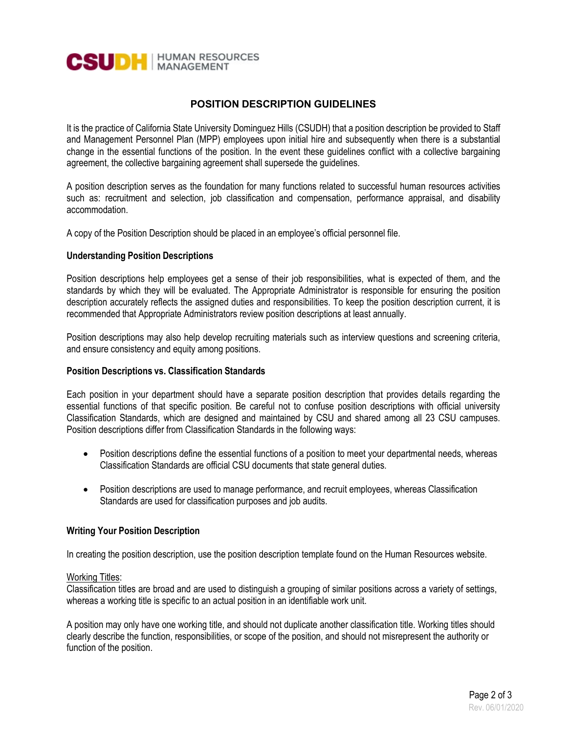

# **POSITION DESCRIPTION GUIDELINES**

It is the practice of California State University Dominguez Hills (CSUDH) that a position description be provided to Staff and Management Personnel Plan (MPP) employees upon initial hire and subsequently when there is a substantial change in the essential functions of the position. In the event these guidelines conflict with a collective bargaining agreement, the collective bargaining agreement shall supersede the guidelines.

A position description serves as the foundation for many functions related to successful human resources activities such as: recruitment and selection, job classification and compensation, performance appraisal, and disability accommodation.

A copy of the Position Description should be placed in an employee's official personnel file.

## **Understanding Position Descriptions**

Position descriptions help employees get a sense of their job responsibilities, what is expected of them, and the standards by which they will be evaluated. The Appropriate Administrator is responsible for ensuring the position description accurately reflects the assigned duties and responsibilities. To keep the position description current, it is recommended that Appropriate Administrators review position descriptions at least annually.

Position descriptions may also help develop recruiting materials such as interview questions and screening criteria, and ensure consistency and equity among positions.

#### **Position Descriptions vs. Classification Standards**

Each position in your department should have a separate position description that provides details regarding the essential functions of that specific position. Be careful not to confuse position descriptions with official university Classification Standards, which are designed and maintained by CSU and shared among all 23 CSU campuses. Position descriptions differ from Classification Standards in the following ways:

- Position descriptions define the essential functions of a position to meet your departmental needs, whereas Classification Standards are official CSU documents that state general duties.
- Position descriptions are used to manage performance, and recruit employees, whereas Classification Standards are used for classification purposes and job audits.

# **Writing Your Position Description**

In creating the position description, use the position description template found on the Human Resources website.

## Working Titles:

Classification titles are broad and are used to distinguish a grouping of similar positions across a variety of settings, whereas a working title is specific to an actual position in an identifiable work unit.

A position may only have one working title, and should not duplicate another classification title. Working titles should clearly describe the function, responsibilities, or scope of the position, and should not misrepresent the authority or function of the position.